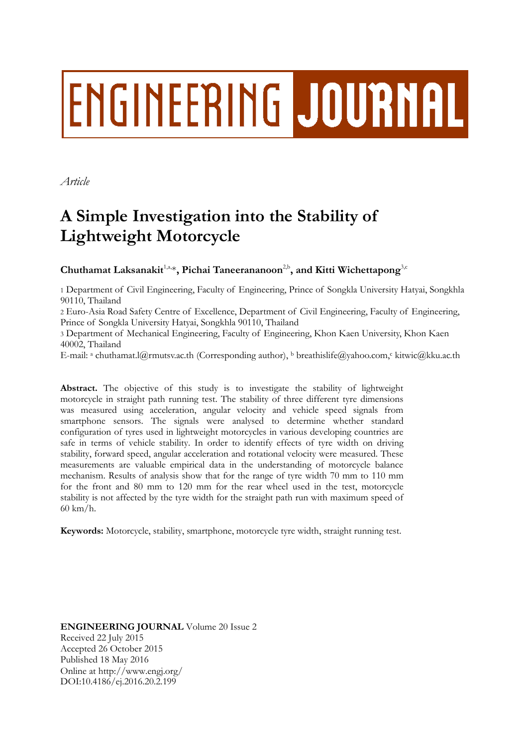# **ENGINEERING JOURNAL**

*Article*

## **A Simple Investigation into the Stability of Lightweight Motorcycle**

### Chuthamat Laksanakit<sup>1,a,</sup>\*, Pichai Taneerananoon<sup>2,b</sup>, and Kitti Wichettapong<sup>3,c</sup>

1 Department of Civil Engineering, Faculty of Engineering, Prince of Songkla University Hatyai, Songkhla 90110, Thailand

2 Euro-Asia Road Safety Centre of Excellence, Department of Civil Engineering, Faculty of Engineering, Prince of Songkla University Hatyai, Songkhla 90110, Thailand

3 Department of Mechanical Engineering, Faculty of Engineering, Khon Kaen University, Khon Kaen 40002, Thailand

E-mail: a chuthamat.l@rmutsv.ac.th (Corresponding author), b breathislife@yahoo.com,<sup>c</sup> kitwic@kku.ac.th

**Abstract.** The objective of this study is to investigate the stability of lightweight motorcycle in straight path running test. The stability of three different tyre dimensions was measured using acceleration, angular velocity and vehicle speed signals from smartphone sensors. The signals were analysed to determine whether standard configuration of tyres used in lightweight motorcycles in various developing countries are safe in terms of vehicle stability. In order to identify effects of tyre width on driving stability, forward speed, angular acceleration and rotational velocity were measured. These measurements are valuable empirical data in the understanding of motorcycle balance mechanism. Results of analysis show that for the range of tyre width 70 mm to 110 mm for the front and 80 mm to 120 mm for the rear wheel used in the test, motorcycle stability is not affected by the tyre width for the straight path run with maximum speed of 60 km/h.

**Keywords:** Motorcycle, stability, smartphone, motorcycle tyre width, straight running test.

**ENGINEERING JOURNAL** Volume 20 Issue 2 Received 22 July 2015 Accepted 26 October 2015 Published 18 May 2016 Online at http://www.engj.org/ DOI:10.4186/ej.2016.20.2.199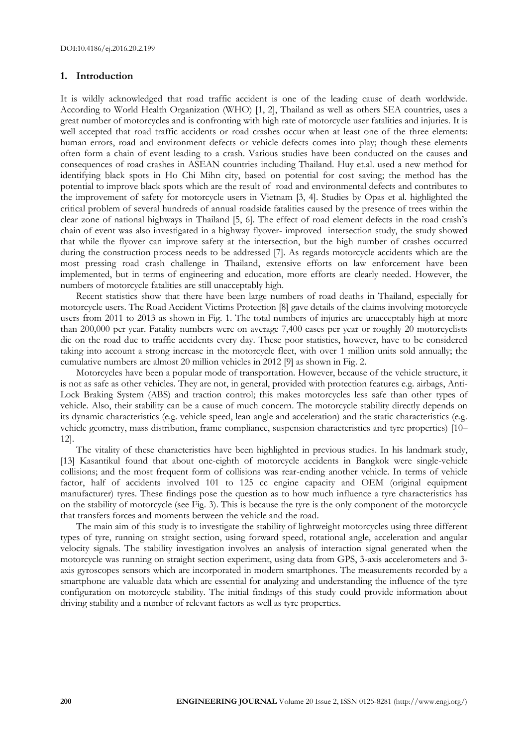#### **1. Introduction**

It is wildly acknowledged that road traffic accident is one of the leading cause of death worldwide. According to World Health Organization (WHO) [1, 2], Thailand as well as others SEA countries, uses a great number of motorcycles and is confronting with high rate of motorcycle user fatalities and injuries. It is well accepted that road traffic accidents or road crashes occur when at least one of the three elements: human errors, road and environment defects or vehicle defects comes into play; though these elements often form a chain of event leading to a crash. Various studies have been conducted on the causes and consequences of road crashes in ASEAN countries including Thailand. Huy et.al. used a new method for identifying black spots in Ho Chi Mihn city, based on potential for cost saving; the method has the potential to improve black spots which are the result of road and environmental defects and contributes to the improvement of safety for motorcycle users in Vietnam [3, 4]. Studies by Opas et al. highlighted the critical problem of several hundreds of annual roadside fatalities caused by the presence of trees within the clear zone of national highways in Thailand [5, 6]. The effect of road element defects in the road crash's chain of event was also investigated in a highway flyover- improved intersection study, the study showed that while the flyover can improve safety at the intersection, but the high number of crashes occurred during the construction process needs to be addressed [7]. As regards motorcycle accidents which are the most pressing road crash challenge in Thailand, extensive efforts on law enforcement have been implemented, but in terms of engineering and education, more efforts are clearly needed. However, the numbers of motorcycle fatalities are still unacceptably high.

Recent statistics show that there have been large numbers of road deaths in Thailand, especially for motorcycle users. The Road Accident Victims Protection [8] gave details of the claims involving motorcycle users from 2011 to 2013 as shown in Fig. 1. The total numbers of injuries are unacceptably high at more than 200,000 per year. Fatality numbers were on average 7,400 cases per year or roughly 20 motorcyclists die on the road due to traffic accidents every day. These poor statistics, however, have to be considered taking into account a strong increase in the motorcycle fleet, with over 1 million units sold annually; the cumulative numbers are almost 20 million vehicles in 2012 [9] as shown in Fig. 2.

Motorcycles have been a popular mode of transportation. However, because of the vehicle structure, it is not as safe as other vehicles. They are not, in general, provided with protection features e.g. airbags, Anti-Lock Braking System (ABS) and traction control; this makes motorcycles less safe than other types of vehicle. Also, their stability can be a cause of much concern. The motorcycle stability directly depends on its dynamic characteristics (e.g. vehicle speed, lean angle and acceleration) and the static characteristics (e.g. vehicle geometry, mass distribution, frame compliance, suspension characteristics and tyre properties) [10– 12].

The vitality of these characteristics have been highlighted in previous studies. In his landmark study, [13] Kasantikul found that about one-eighth of motorcycle accidents in Bangkok were single-vehicle collisions; and the most frequent form of collisions was rear-ending another vehicle. In terms of vehicle factor, half of accidents involved 101 to 125 cc engine capacity and OEM (original equipment manufacturer) tyres. These findings pose the question as to how much influence a tyre characteristics has on the stability of motorcycle (see Fig. 3). This is because the tyre is the only component of the motorcycle that transfers forces and moments between the vehicle and the road.

The main aim of this study is to investigate the stability of lightweight motorcycles using three different types of tyre, running on straight section, using forward speed, rotational angle, acceleration and angular velocity signals. The stability investigation involves an analysis of interaction signal generated when the motorcycle was running on straight section experiment, using data from GPS, 3-axis accelerometers and 3 axis gyroscopes sensors which are incorporated in modern smartphones. The measurements recorded by a smartphone are valuable data which are essential for analyzing and understanding the influence of the tyre configuration on motorcycle stability. The initial findings of this study could provide information about driving stability and a number of relevant factors as well as tyre properties.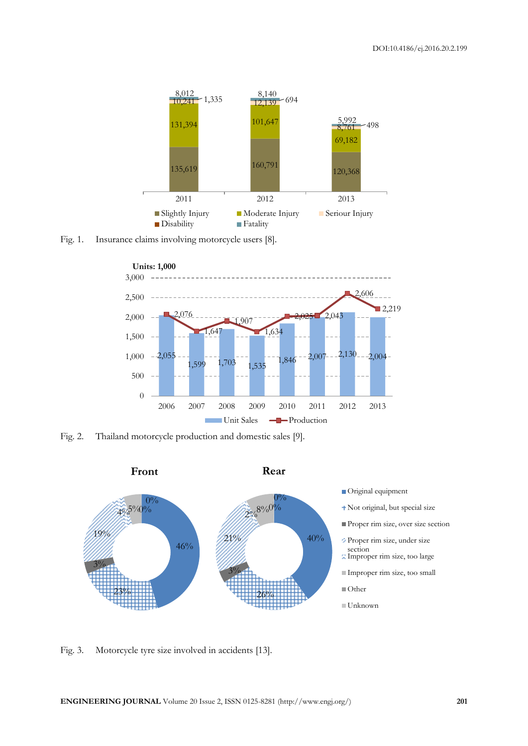

Fig. 1. Insurance claims involving motorcycle users [8].



Fig. 2. Thailand motorcycle production and domestic sales [9].



- Original equipment
- Not original, but special size
- Proper rim size, over size section
- Proper rim size, under size
- section Improper rim size, too large
- Improper rim size, too small
- ■Other
- Unknown

Fig. 3. Motorcycle tyre size involved in accidents [13].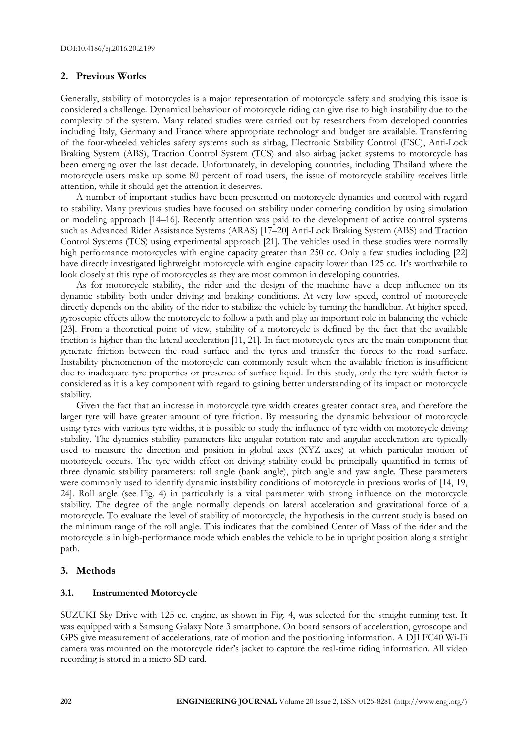#### **2. Previous Works**

Generally, stability of motorcycles is a major representation of motorcycle safety and studying this issue is considered a challenge. Dynamical behaviour of motorcycle riding can give rise to high instability due to the complexity of the system. Many related studies were carried out by researchers from developed countries including Italy, Germany and France where appropriate technology and budget are available. Transferring of the four-wheeled vehicles safety systems such as airbag, Electronic Stability Control (ESC), Anti-Lock Braking System (ABS), Traction Control System (TCS) and also airbag jacket systems to motorcycle has been emerging over the last decade. Unfortunately, in developing countries, including Thailand where the motorcycle users make up some 80 percent of road users, the issue of motorcycle stability receives little attention, while it should get the attention it deserves.

A number of important studies have been presented on motorcycle dynamics and control with regard to stability. Many previous studies have focused on stability under cornering condition by using simulation or modeling approach [14–16]. Recently attention was paid to the development of active control systems such as Advanced Rider Assistance Systems (ARAS) [17–20] Anti-Lock Braking System (ABS) and Traction Control Systems (TCS) using experimental approach [21]. The vehicles used in these studies were normally high performance motorcycles with engine capacity greater than 250 cc. Only a few studies including [22] have directly investigated lightweight motorcycle with engine capacity lower than 125 cc. It's worthwhile to look closely at this type of motorcycles as they are most common in developing countries.

As for motorcycle stability, the rider and the design of the machine have a deep influence on its dynamic stability both under driving and braking conditions. At very low speed, control of motorcycle directly depends on the ability of the rider to stabilize the vehicle by turning the handlebar. At higher speed, gyroscopic effects allow the motorcycle to follow a path and play an important role in balancing the vehicle [23]. From a theoretical point of view, stability of a motorcycle is defined by the fact that the available friction is higher than the lateral acceleration [11, 21]. In fact motorcycle tyres are the main component that generate friction between the road surface and the tyres and transfer the forces to the road surface. Instability phenomenon of the motorcycle can commonly result when the available friction is insufficient due to inadequate tyre properties or presence of surface liquid. In this study, only the tyre width factor is considered as it is a key component with regard to gaining better understanding of its impact on motorcycle stability.

Given the fact that an increase in motorcycle tyre width creates greater contact area, and therefore the larger tyre will have greater amount of tyre friction. By measuring the dynamic behvaiour of motorcycle using tyres with various tyre widths, it is possible to study the influence of tyre width on motorcycle driving stability. The dynamics stability parameters like angular rotation rate and angular acceleration are typically used to measure the direction and position in global axes (XYZ axes) at which particular motion of motorcycle occurs. The tyre width effect on driving stability could be principally quantified in terms of three dynamic stability parameters: roll angle (bank angle), pitch angle and yaw angle. These parameters were commonly used to identify dynamic instability conditions of motorcycle in previous works of [14, 19, 24]. Roll angle (see Fig. 4) in particularly is a vital parameter with strong influence on the motorcycle stability. The degree of the angle normally depends on lateral acceleration and gravitational force of a motorcycle. To evaluate the level of stability of motorcycle, the hypothesis in the current study is based on the minimum range of the roll angle. This indicates that the combined Center of Mass of the rider and the motorcycle is in high-performance mode which enables the vehicle to be in upright position along a straight path.

#### **3. Methods**

#### **3.1. Instrumented Motorcycle**

SUZUKI Sky Drive with 125 cc. engine, as shown in Fig. 4, was selected for the straight running test. It was equipped with a Samsung Galaxy Note 3 smartphone. On board sensors of acceleration, gyroscope and GPS give measurement of accelerations, rate of motion and the positioning information. A DJI FC40 Wi-Fi camera was mounted on the motorcycle rider's jacket to capture the real-time riding information. All video recording is stored in a micro SD card.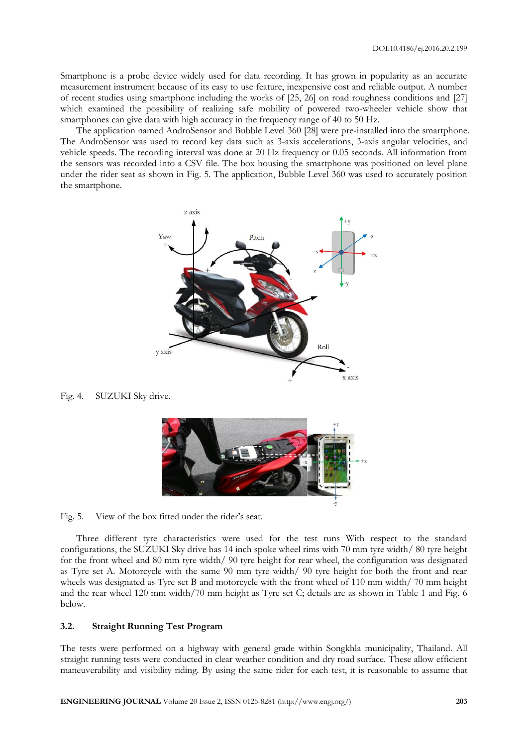Smartphone is a probe device widely used for data recording. It has grown in popularity as an accurate measurement instrument because of its easy to use feature, inexpensive cost and reliable output. A number of recent studies using smartphone including the works of [25, 26] on road roughness conditions and [27] which examined the possibility of realizing safe mobility of powered two-wheeler vehicle show that smartphones can give data with high accuracy in the frequency range of 40 to 50 Hz.

The application named AndroSensor and Bubble Level 360 [28] were pre-installed into the smartphone. The AndroSensor was used to record key data such as 3-axis accelerations, 3-axis angular velocities, and vehicle speeds. The recording interval was done at 20 Hz frequency or 0.05 seconds. All information from the sensors was recorded into a CSV file. The box housing the smartphone was positioned on level plane under the rider seat as shown in Fig. 5. The application, Bubble Level 360 was used to accurately position the smartphone.



Fig. 4. SUZUKI Sky drive.



Fig. 5. View of the box fitted under the rider's seat.

Three different tyre characteristics were used for the test runs With respect to the standard configurations, the SUZUKI Sky drive has 14 inch spoke wheel rims with 70 mm tyre width/ 80 tyre height for the front wheel and 80 mm tyre width/ 90 tyre height for rear wheel, the configuration was designated as Tyre set A. Motorcycle with the same 90 mm tyre width/ 90 tyre height for both the front and rear wheels was designated as Tyre set B and motorcycle with the front wheel of 110 mm width/ 70 mm height and the rear wheel 120 mm width/70 mm height as Tyre set C; details are as shown in Table 1 and Fig. 6 below.

#### **3.2. Straight Running Test Program**

The tests were performed on a highway with general grade within Songkhla municipality, Thailand. All straight running tests were conducted in clear weather condition and dry road surface. These allow efficient maneuverability and visibility riding. By using the same rider for each test, it is reasonable to assume that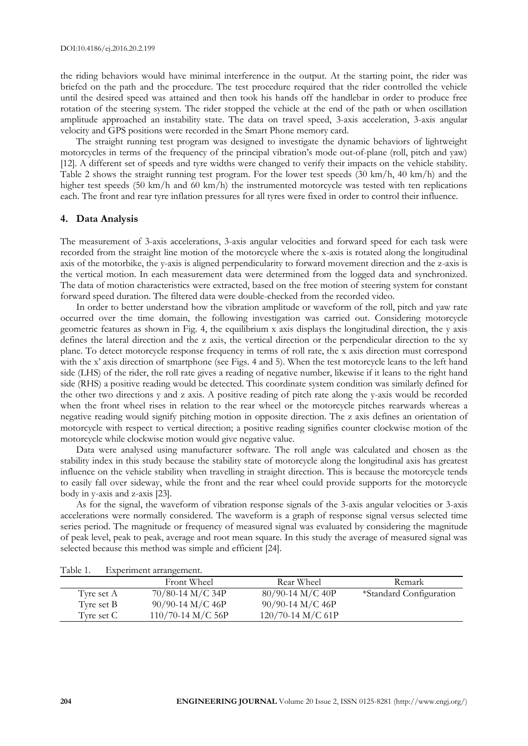the riding behaviors would have minimal interference in the output. At the starting point, the rider was briefed on the path and the procedure. The test procedure required that the rider controlled the vehicle until the desired speed was attained and then took his hands off the handlebar in order to produce free rotation of the steering system. The rider stopped the vehicle at the end of the path or when oscillation amplitude approached an instability state. The data on travel speed, 3-axis acceleration, 3-axis angular velocity and GPS positions were recorded in the Smart Phone memory card.

The straight running test program was designed to investigate the dynamic behaviors of lightweight motorcycles in terms of the frequency of the principal vibration's mode out-of-plane (roll, pitch and yaw) [12]. A different set of speeds and tyre widths were changed to verify their impacts on the vehicle stability. Table 2 shows the straight running test program. For the lower test speeds (30 km/h, 40 km/h) and the higher test speeds (50 km/h and 60 km/h) the instrumented motorcycle was tested with ten replications each. The front and rear tyre inflation pressures for all tyres were fixed in order to control their influence.

#### **4. Data Analysis**

The measurement of 3-axis accelerations, 3-axis angular velocities and forward speed for each task were recorded from the straight line motion of the motorcycle where the x-axis is rotated along the longitudinal axis of the motorbike, the y-axis is aligned perpendicularity to forward movement direction and the z-axis is the vertical motion. In each measurement data were determined from the logged data and synchronized. The data of motion characteristics were extracted, based on the free motion of steering system for constant forward speed duration. The filtered data were double-checked from the recorded video.

In order to better understand how the vibration amplitude or waveform of the roll, pitch and yaw rate occurred over the time domain, the following investigation was carried out. Considering motorcycle geometric features as shown in Fig. 4, the equilibrium x axis displays the longitudinal direction, the y axis defines the lateral direction and the z axis, the vertical direction or the perpendicular direction to the xy plane. To detect motorcycle response frequency in terms of roll rate, the x axis direction must correspond with the x' axis direction of smartphone (see Figs. 4 and 5). When the test motorcycle leans to the left hand side (LHS) of the rider, the roll rate gives a reading of negative number, likewise if it leans to the right hand side (RHS) a positive reading would be detected. This coordinate system condition was similarly defined for the other two directions y and z axis. A positive reading of pitch rate along the y-axis would be recorded when the front wheel rises in relation to the rear wheel or the motorcycle pitches rearwards whereas a negative reading would signify pitching motion in opposite direction. The z axis defines an orientation of motorcycle with respect to vertical direction; a positive reading signifies counter clockwise motion of the motorcycle while clockwise motion would give negative value.

Data were analysed using manufacturer software. The roll angle was calculated and chosen as the stability index in this study because the stability state of motorcycle along the longitudinal axis has greatest influence on the vehicle stability when travelling in straight direction. This is because the motorcycle tends to easily fall over sideway, while the front and the rear wheel could provide supports for the motorcycle body in y-axis and z-axis [23].

As for the signal, the waveform of vibration response signals of the 3-axis angular velocities or 3-axis accelerations were normally considered. The waveform is a graph of response signal versus selected time series period. The magnitude or frequency of measured signal was evaluated by considering the magnitude of peak level, peak to peak, average and root mean square. In this study the average of measured signal was selected because this method was simple and efficient [24].

| 1 UUIV 11  | <b>Experiment and districtive</b> |                     |                         |
|------------|-----------------------------------|---------------------|-------------------------|
|            | Front Wheel                       | Rear Wheel          | Remark                  |
| Tyre set A | $70/80-14$ M/C 34P                | $80/90-14$ M/C 40P  | *Standard Configuration |
| Tyre set B | $90/90-14$ M/C 46P                | $90/90-14$ M/C 46P  |                         |
| Tyre set C | $110/70-14$ M/C 56P               | $120/70-14$ M/C 61P |                         |

Table 1. Experiment arrangement.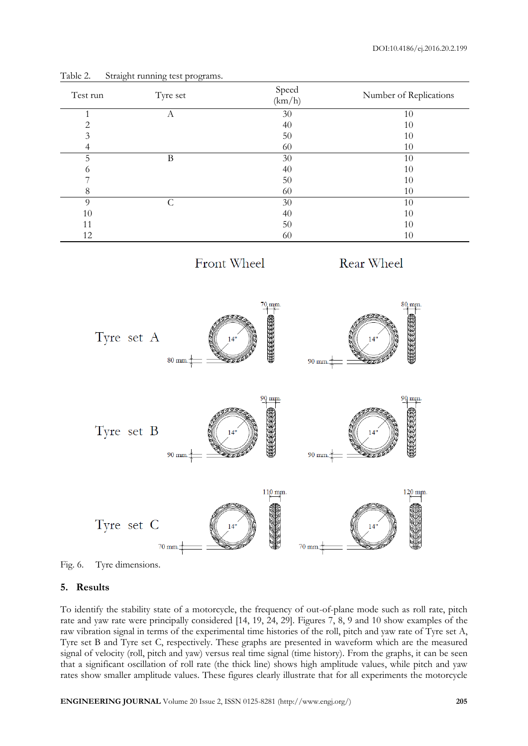| Test run       | Tyre set                                    | Speed<br>(km/h)                   | Number of Replications                   |
|----------------|---------------------------------------------|-----------------------------------|------------------------------------------|
| $\mathbf 1$    | $\overline{A}$                              | 30                                | 10                                       |
| $\overline{c}$ |                                             | 40                                | $10\,$                                   |
| $\overline{3}$ |                                             | 50                                | 10                                       |
| $\overline{4}$ |                                             | 60                                | $10\,$                                   |
| $\overline{5}$ | $\overline{B}$                              | $\overline{30}$                   | 10                                       |
| $\sqrt{6}$     |                                             | 40                                | $10\,$                                   |
| $\overline{7}$ |                                             | 50                                | $10\,$                                   |
| 8              |                                             | 60                                | $10\,$                                   |
| 9              | $\overline{C}$                              | 30                                | 10                                       |
| 10             |                                             | 40                                | $10\,$                                   |
| $11\,$         |                                             | 50                                | $10\,$                                   |
| 12             |                                             | 60                                | $10\,$                                   |
|                |                                             | Front Wheel                       | Rear Wheel                               |
|                | Tyre set A<br>$80 \text{ mm}$               | $70$ mm.<br>EKKKKK<br>14"<br>EEEl | 80 mm.<br>122222<br>14"<br>90 mm.<br>200 |
|                | Tyre set B<br>90 mm.                        | 90 mm.<br>14"<br>EEV              | 90 mm.<br>14"<br>まんでん<br>90 mm.          |
|                | Tyre set C<br>$70 \text{ mm}$ <sup>-1</sup> | 110 mm.<br>14"                    | 120 mm.<br>14"<br>$70 \text{ mm}$        |

Table 2. Straight running test programs.



#### **5. Results**

To identify the stability state of a motorcycle, the frequency of out-of-plane mode such as roll rate, pitch rate and yaw rate were principally considered [14, 19, 24, 29]. Figures 7, 8, 9 and 10 show examples of the raw vibration signal in terms of the experimental time histories of the roll, pitch and yaw rate of Tyre set A, Tyre set B and Tyre set C, respectively. These graphs are presented in waveform which are the measured signal of velocity (roll, pitch and yaw) versus real time signal (time history). From the graphs, it can be seen that a significant oscillation of roll rate (the thick line) shows high amplitude values, while pitch and yaw rates show smaller amplitude values. These figures clearly illustrate that for all experiments the motorcycle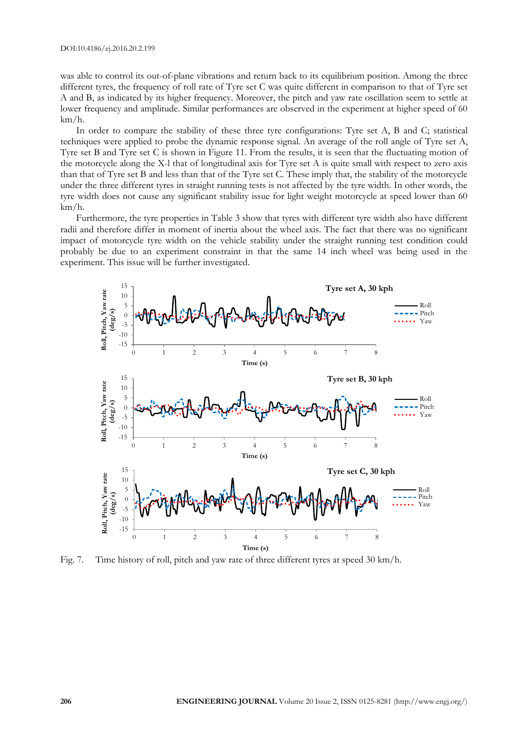was able to control its out-of-plane vibrations and return back to its equilibrium position. Among the three different tyres, the frequency of roll rate of Tyre set C was quite different in comparison to that of Tyre set A and B, as indicated by its higher frequency. Moreover, the pitch and yaw rate oscillation seem to settle at lower frequency and amplitude. Similar performances are observed in the experiment at higher speed of 60 km/h.

In order to compare the stability of these three tyre configurations: Tyre set A, B and C; statistical techniques were applied to probe the dynamic response signal. An average of the roll angle of Tyre set A, Tyre set B and Tyre set C is shown in Figure 11. From the results, it is seen that the fluctuating motion of the motorcycle along the X-l that of longitudinal axis for Tyre set A is quite small with respect to zero axis than that of Tyre set B and less than that of the Tyre set C. These imply that, the stability of the motorcycle under the three different tyres in straight running tests is not affected by the tyre width. In other words, the tyre width does not cause any significant stability issue for light weight motorcycle at speed lower than 60 km/h.

Furthermore, the tyre properties in Table 3 show that tyres with different tyre width also have different radii and therefore differ in moment of inertia about the wheel axis. The fact that there was no significant impact of motorcycle tyre width on the vehicle stability under the straight running test condition could probably be due to an experiment constraint in that the same 14 inch wheel was being used in the experiment. This issue will be further investigated.



Fig. 7. Time history of roll, pitch and yaw rate of three different tyres at speed 30 km/h.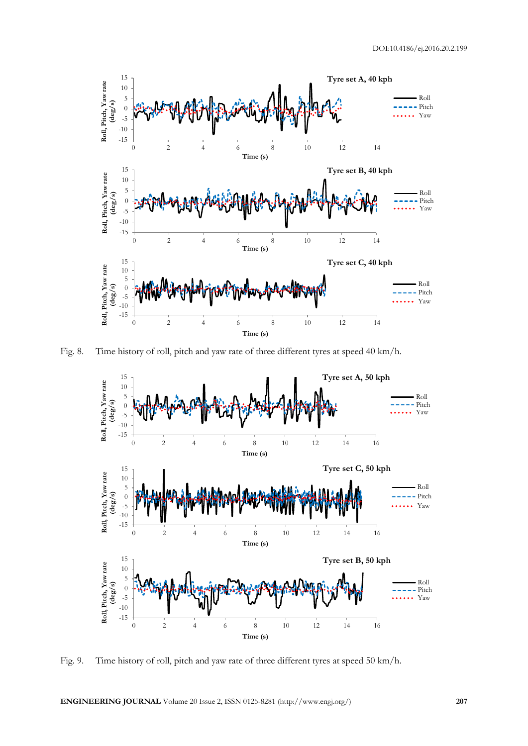

Fig. 8. Time history of roll, pitch and yaw rate of three different tyres at speed 40 km/h.



Fig. 9. Time history of roll, pitch and yaw rate of three different tyres at speed 50 km/h.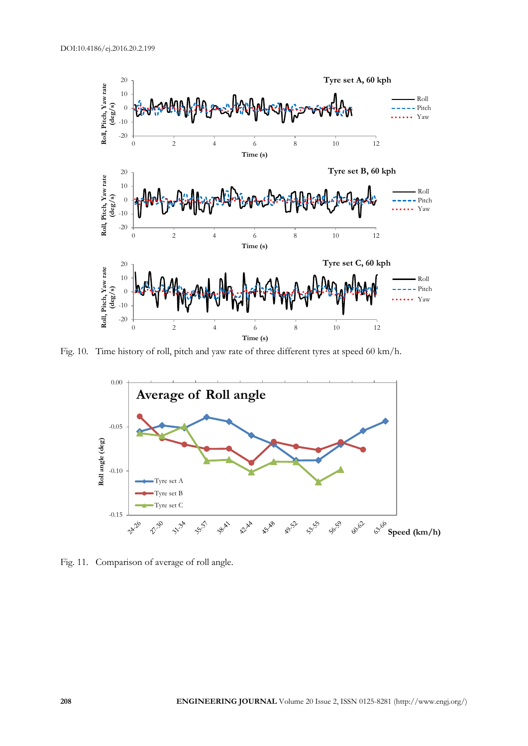

Fig. 10. Time history of roll, pitch and yaw rate of three different tyres at speed 60 km/h.



Fig. 11. Comparison of average of roll angle.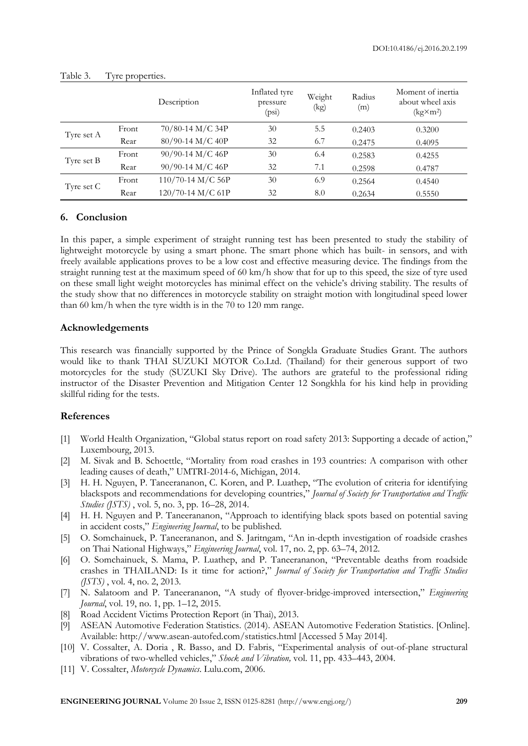|            |       | Description         | Inflated tyre<br>pressure<br>(psi) | Weight<br>(kg) | Radius<br>(m) | Moment of inertia<br>about wheel axis<br>$(kg\times m^2)$ |
|------------|-------|---------------------|------------------------------------|----------------|---------------|-----------------------------------------------------------|
| Tyre set A | Front | 70/80-14 M/C 34P    | 30                                 | 5.5            | 0.2403        | 0.3200                                                    |
|            | Rear  | 80/90-14 M/C 40P    | 32                                 | 6.7            | 0.2475        | 0.4095                                                    |
|            | Front | $90/90-14$ M/C 46P  | 30                                 | 6.4            | 0.2583        | 0.4255                                                    |
| Tyre set B | Rear  | 90/90-14 M/C 46P    | 32                                 | 7.1            | 0.2598        | 0.4787                                                    |
| Tyre set C | Front | $110/70-14$ M/C 56P | 30                                 | 6.9            | 0.2564        | 0.4540                                                    |
|            | Rear  | 120/70-14 M/C 61P   | 32                                 | 8.0            | 0.2634        | 0.5550                                                    |

| Table 3. | Tyre properties. |
|----------|------------------|

#### **6. Conclusion**

In this paper, a simple experiment of straight running test has been presented to study the stability of lightweight motorcycle by using a smart phone. The smart phone which has built- in sensors, and with freely available applications proves to be a low cost and effective measuring device. The findings from the straight running test at the maximum speed of 60 km/h show that for up to this speed, the size of tyre used on these small light weight motorcycles has minimal effect on the vehicle's driving stability. The results of the study show that no differences in motorcycle stability on straight motion with longitudinal speed lower than 60 km/h when the tyre width is in the 70 to 120 mm range.

#### **Acknowledgements**

This research was financially supported by the Prince of Songkla Graduate Studies Grant. The authors would like to thank THAI SUZUKI MOTOR Co.Ltd. (Thailand) for their generous support of two motorcycles for the study (SUZUKI Sky Drive). The authors are grateful to the professional riding instructor of the Disaster Prevention and Mitigation Center 12 Songkhla for his kind help in providing skillful riding for the tests.

#### **References**

- [1] World Health Organization, "Global status report on road safety 2013: Supporting a decade of action," Luxembourg, 2013.
- [2] M. Sivak and B. Schoettle, "Mortality from road crashes in 193 countries: A comparison with other leading causes of death," UMTRI-2014-6, Michigan, 2014.
- [3] H. H. Nguyen, P. Taneerananon, C. Koren, and P. Luathep, "The evolution of criteria for identifying blackspots and recommendations for developing countries," *Journal of Society for Transportation and Traffic Studies (JSTS)* , vol. 5, no. 3, pp. 16–28, 2014.
- [4] H. H. Nguyen and P. Taneerananon, "Approach to identifying black spots based on potential saving in accident costs," *Engineering Journal*, to be published*.*
- [5] O. Somchainuek, P. Taneerananon, and S. Jaritngam, "An in-depth investigation of roadside crashes on Thai National Highways," *Engineering Journal*, vol. 17, no. 2, pp. 63–74, 2012.
- [6] O. Somchainuek, S. Mama, P. Luathep, and P. Taneerananon, "Preventable deaths from roadside crashes in THAILAND: Is it time for action?," *Journal of Society for Transportation and Traffic Studies (JSTS)* , vol. 4, no. 2, 2013.
- [7] N. Salatoom and P. Taneerananon, "A study of flyover-bridge-improved intersection," *Engineering Journal*, vol. 19, no. 1, pp. 1–12, 2015.
- [8] Road Accident Victims Protection Report (in Thai), 2013.
- [9] ASEAN Automotive Federation Statistics. (2014). ASEAN Automotive Federation Statistics. [Online]. Available: http://www.asean-autofed.com/statistics.html [Accessed 5 May 2014].
- [10] V. Cossalter, A. Doria, R. Basso, and D. Fabris, "Experimental analysis of out-of-plane structural vibrations of two-whelled vehicles," *Shock and Vibration,* vol. 11, pp. 433–443, 2004.
- [11] V. Cossalter, *Motorcycle Dynamics*. Lulu.com, 2006.